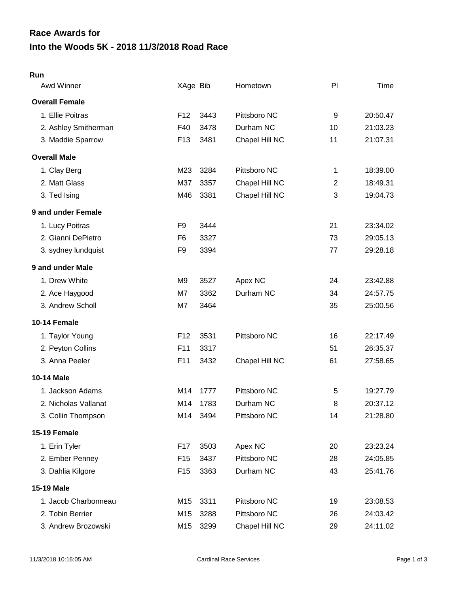# **Into the Woods 5K - 2018 11/3/2018 Road Race Race Awards for**

#### **Run**

| Awd Winner            | XAge Bib        |      | Hometown       | PI             | Time     |
|-----------------------|-----------------|------|----------------|----------------|----------|
| <b>Overall Female</b> |                 |      |                |                |          |
| 1. Ellie Poitras      | F <sub>12</sub> | 3443 | Pittsboro NC   | 9              | 20:50.47 |
| 2. Ashley Smitherman  | F40             | 3478 | Durham NC      | 10             | 21:03.23 |
| 3. Maddie Sparrow     | F <sub>13</sub> | 3481 | Chapel Hill NC | 11             | 21:07.31 |
| <b>Overall Male</b>   |                 |      |                |                |          |
| 1. Clay Berg          | M23             | 3284 | Pittsboro NC   | 1              | 18:39.00 |
| 2. Matt Glass         | M37             | 3357 | Chapel Hill NC | $\overline{2}$ | 18:49.31 |
| 3. Ted Ising          | M46             | 3381 | Chapel Hill NC | 3              | 19:04.73 |
| 9 and under Female    |                 |      |                |                |          |
| 1. Lucy Poitras       | F <sub>9</sub>  | 3444 |                | 21             | 23:34.02 |
| 2. Gianni DePietro    | F <sub>6</sub>  | 3327 |                | 73             | 29:05.13 |
| 3. sydney lundquist   | F <sub>9</sub>  | 3394 |                | 77             | 29:28.18 |
| 9 and under Male      |                 |      |                |                |          |
| 1. Drew White         | M9              | 3527 | Apex NC        | 24             | 23:42.88 |
| 2. Ace Haygood        | M7              | 3362 | Durham NC      | 34             | 24:57.75 |
| 3. Andrew Scholl      | M7              | 3464 |                | 35             | 25:00.56 |
| 10-14 Female          |                 |      |                |                |          |
| 1. Taylor Young       | F <sub>12</sub> | 3531 | Pittsboro NC   | 16             | 22:17.49 |
| 2. Peyton Collins     | F <sub>11</sub> | 3317 |                | 51             | 26:35.37 |
| 3. Anna Peeler        | F11             | 3432 | Chapel Hill NC | 61             | 27:58.65 |
| <b>10-14 Male</b>     |                 |      |                |                |          |
| 1. Jackson Adams      | M14             | 1777 | Pittsboro NC   | 5              | 19:27.79 |
| 2. Nicholas Vallanat  | M14             | 1783 | Durham NC      | 8              | 20:37.12 |
| 3. Collin Thompson    | M14             | 3494 | Pittsboro NC   | 14             | 21:28.80 |
| 15-19 Female          |                 |      |                |                |          |
| 1. Erin Tyler         | F17             | 3503 | Apex NC        | 20             | 23:23.24 |
| 2. Ember Penney       | F <sub>15</sub> | 3437 | Pittsboro NC   | 28             | 24:05.85 |
| 3. Dahlia Kilgore     | F <sub>15</sub> | 3363 | Durham NC      | 43             | 25:41.76 |
| 15-19 Male            |                 |      |                |                |          |
| 1. Jacob Charbonneau  | M15             | 3311 | Pittsboro NC   | 19             | 23:08.53 |
| 2. Tobin Berrier      | M15             | 3288 | Pittsboro NC   | 26             | 24:03.42 |
| 3. Andrew Brozowski   | M15             | 3299 | Chapel Hill NC | 29             | 24:11.02 |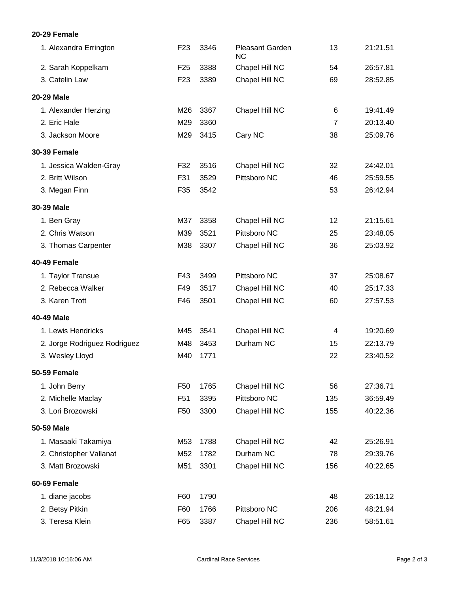### **20-29 Female**

| 1. Alexandra Errington       | F <sub>23</sub> | 3346 | <b>Pleasant Garden</b><br><b>NC</b> | 13             | 21:21.51 |
|------------------------------|-----------------|------|-------------------------------------|----------------|----------|
| 2. Sarah Koppelkam           | F <sub>25</sub> | 3388 | Chapel Hill NC                      | 54             | 26:57.81 |
| 3. Catelin Law               | F <sub>23</sub> | 3389 | Chapel Hill NC                      | 69             | 28:52.85 |
| 20-29 Male                   |                 |      |                                     |                |          |
| 1. Alexander Herzing         | M26             | 3367 | Chapel Hill NC                      | 6              | 19:41.49 |
| 2. Eric Hale                 | M29             | 3360 |                                     | $\overline{7}$ | 20:13.40 |
| 3. Jackson Moore             | M29             | 3415 | Cary NC                             | 38             | 25:09.76 |
| <b>30-39 Female</b>          |                 |      |                                     |                |          |
| 1. Jessica Walden-Gray       | F32             | 3516 | Chapel Hill NC                      | 32             | 24:42.01 |
| 2. Britt Wilson              | F31             | 3529 | Pittsboro NC                        | 46             | 25:59.55 |
| 3. Megan Finn                | F35             | 3542 |                                     | 53             | 26:42.94 |
| 30-39 Male                   |                 |      |                                     |                |          |
| 1. Ben Gray                  | M37             | 3358 | Chapel Hill NC                      | 12             | 21:15.61 |
| 2. Chris Watson              | M39             | 3521 | Pittsboro NC                        | 25             | 23:48.05 |
| 3. Thomas Carpenter          | M38             | 3307 | Chapel Hill NC                      | 36             | 25:03.92 |
| 40-49 Female                 |                 |      |                                     |                |          |
| 1. Taylor Transue            | F43             | 3499 | Pittsboro NC                        | 37             | 25:08.67 |
| 2. Rebecca Walker            | F49             | 3517 | Chapel Hill NC                      | 40             | 25:17.33 |
| 3. Karen Trott               | F46             | 3501 | Chapel Hill NC                      | 60             | 27:57.53 |
| 40-49 Male                   |                 |      |                                     |                |          |
| 1. Lewis Hendricks           | M45             | 3541 | Chapel Hill NC                      | 4              | 19:20.69 |
| 2. Jorge Rodriguez Rodriguez | M48             | 3453 | Durham NC                           | 15             | 22:13.79 |
| 3. Wesley Lloyd              | M40             | 1771 |                                     | 22             | 23:40.52 |
| 50-59 Female                 |                 |      |                                     |                |          |
| 1. John Berry                | F <sub>50</sub> | 1765 | Chapel Hill NC                      | 56             | 27:36.71 |
| 2. Michelle Maclay           | F <sub>51</sub> | 3395 | Pittsboro NC                        | 135            | 36:59.49 |
| 3. Lori Brozowski            | F <sub>50</sub> | 3300 | Chapel Hill NC                      | 155            | 40:22.36 |
| 50-59 Male                   |                 |      |                                     |                |          |
| 1. Masaaki Takamiya          | M53             | 1788 | Chapel Hill NC                      | 42             | 25:26.91 |
| 2. Christopher Vallanat      | M52             | 1782 | Durham NC                           | 78             | 29:39.76 |
| 3. Matt Brozowski            | M51             | 3301 | Chapel Hill NC                      | 156            | 40:22.65 |
| 60-69 Female                 |                 |      |                                     |                |          |
| 1. diane jacobs              | F60             | 1790 |                                     | 48             | 26:18.12 |
| 2. Betsy Pitkin              | F60             | 1766 | Pittsboro NC                        | 206            | 48:21.94 |
| 3. Teresa Klein              | F65             | 3387 | Chapel Hill NC                      | 236            | 58:51.61 |